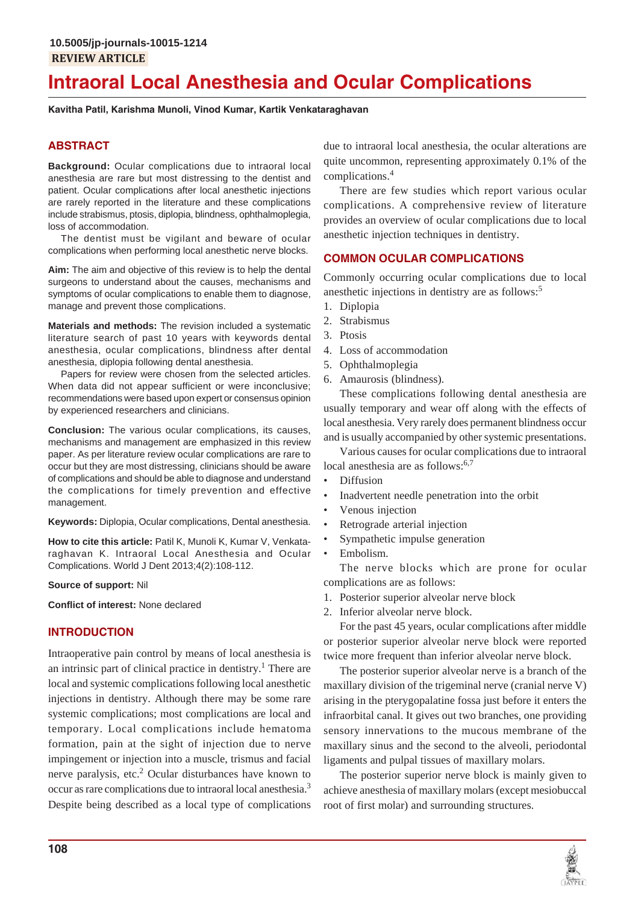# **Intraoral Local Anesthesia and Ocular Complications**

**Kavitha Patil, Karishma Munoli, Vinod Kumar, Kartik Venkataraghavan**

# **ABSTRACT**

**Background:** Ocular complications due to intraoral local anesthesia are rare but most distressing to the dentist and patient. Ocular complications after local anesthetic injections are rarely reported in the literature and these complications include strabismus, ptosis, diplopia, blindness, ophthalmoplegia, loss of accommodation.

The dentist must be vigilant and beware of ocular complications when performing local anesthetic nerve blocks.

**Aim:** The aim and objective of this review is to help the dental surgeons to understand about the causes, mechanisms and symptoms of ocular complications to enable them to diagnose, manage and prevent those complications.

**Materials and methods:** The revision included a systematic literature search of past 10 years with keywords dental anesthesia, ocular complications, blindness after dental anesthesia, diplopia following dental anesthesia.

Papers for review were chosen from the selected articles. When data did not appear sufficient or were inconclusive; recommendations were based upon expert or consensus opinion by experienced researchers and clinicians.

**Conclusion:** The various ocular complications, its causes, mechanisms and management are emphasized in this review paper. As per literature review ocular complications are rare to occur but they are most distressing, clinicians should be aware of complications and should be able to diagnose and understand the complications for timely prevention and effective management.

**Keywords:** Diplopia, Ocular complications, Dental anesthesia.

**How to cite this article:** Patil K, Munoli K, Kumar V, Venkataraghavan K. Intraoral Local Anesthesia and Ocular Complications. World J Dent 2013;4(2):108-112.

#### **Source of support:** Nil

**Conflict of interest:** None declared

## **INTRODUCTION**

Intraoperative pain control by means of local anesthesia is an intrinsic part of clinical practice in dentistry.<sup>1</sup> There are local and systemic complications following local anesthetic injections in dentistry. Although there may be some rare systemic complications; most complications are local and temporary. Local complications include hematoma formation, pain at the sight of injection due to nerve impingement or injection into a muscle, trismus and facial nerve paralysis, etc.<sup>2</sup> Ocular disturbances have known to occur as rare complications due to intraoral local anesthesia.3 Despite being described as a local type of complications

due to intraoral local anesthesia, the ocular alterations are quite uncommon, representing approximately 0.1% of the complications.<sup>4</sup>

There are few studies which report various ocular complications. A comprehensive review of literature provides an overview of ocular complications due to local anesthetic injection techniques in dentistry.

## **COMMON OCULAR COMPLICATIONS**

Commonly occurring ocular complications due to local anesthetic injections in dentistry are as follows:5

- 1. Diplopia
- 2. Strabismus
- 3. Ptosis
- 4. Loss of accommodation
- 5. Ophthalmoplegia
- 6. Amaurosis (blindness).

These complications following dental anesthesia are usually temporary and wear off along with the effects of local anesthesia. Very rarely does permanent blindness occur and is usually accompanied by other systemic presentations.

Various causes for ocular complications due to intraoral local anesthesia are as follows:<sup>6,7</sup>

- Diffusion
- Inadvertent needle penetration into the orbit
- Venous injection
- Retrograde arterial injection
- Sympathetic impulse generation
- Embolism.

The nerve blocks which are prone for ocular complications are as follows:

- 1. Posterior superior alveolar nerve block
- 2. Inferior alveolar nerve block.

For the past 45 years, ocular complications after middle or posterior superior alveolar nerve block were reported twice more frequent than inferior alveolar nerve block.

The posterior superior alveolar nerve is a branch of the maxillary division of the trigeminal nerve (cranial nerve V) arising in the pterygopalatine fossa just before it enters the infraorbital canal. It gives out two branches, one providing sensory innervations to the mucous membrane of the maxillary sinus and the second to the alveoli, periodontal ligaments and pulpal tissues of maxillary molars.

The posterior superior nerve block is mainly given to achieve anesthesia of maxillary molars (except mesiobuccal root of first molar) and surrounding structures.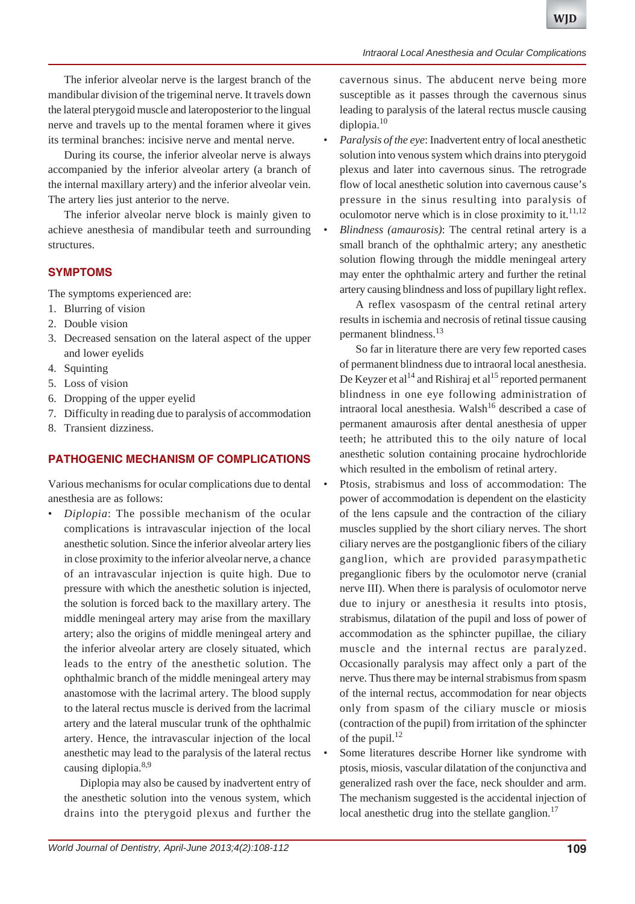The inferior alveolar nerve is the largest branch of the mandibular division of the trigeminal nerve. It travels down the lateral pterygoid muscle and lateroposterior to the lingual nerve and travels up to the mental foramen where it gives its terminal branches: incisive nerve and mental nerve.

During its course, the inferior alveolar nerve is always accompanied by the inferior alveolar artery (a branch of the internal maxillary artery) and the inferior alveolar vein. The artery lies just anterior to the nerve.

The inferior alveolar nerve block is mainly given to achieve anesthesia of mandibular teeth and surrounding structures.

## **SYMPTOMS**

The symptoms experienced are:

- 1. Blurring of vision
- 2. Double vision
- 3. Decreased sensation on the lateral aspect of the upper and lower eyelids
- 4. Squinting
- 5. Loss of vision
- 6. Dropping of the upper eyelid
- 7. Difficulty in reading due to paralysis of accommodation
- 8. Transient dizziness.

## **PATHOGENIC MECHANISM OF COMPLICATIONS**

Various mechanisms for ocular complications due to dental anesthesia are as follows:

• *Diplopia*: The possible mechanism of the ocular complications is intravascular injection of the local anesthetic solution. Since the inferior alveolar artery lies in close proximity to the inferior alveolar nerve, a chance of an intravascular injection is quite high. Due to pressure with which the anesthetic solution is injected, the solution is forced back to the maxillary artery. The middle meningeal artery may arise from the maxillary artery; also the origins of middle meningeal artery and the inferior alveolar artery are closely situated, which leads to the entry of the anesthetic solution. The ophthalmic branch of the middle meningeal artery may anastomose with the lacrimal artery. The blood supply to the lateral rectus muscle is derived from the lacrimal artery and the lateral muscular trunk of the ophthalmic artery. Hence, the intravascular injection of the local anesthetic may lead to the paralysis of the lateral rectus causing diplopia.8,9

Diplopia may also be caused by inadvertent entry of the anesthetic solution into the venous system, which drains into the pterygoid plexus and further the

cavernous sinus. The abducent nerve being more susceptible as it passes through the cavernous sinus leading to paralysis of the lateral rectus muscle causing diplopia.10

- *Paralysis of the eye*: Inadvertent entry of local anesthetic solution into venous system which drains into pterygoid plexus and later into cavernous sinus. The retrograde flow of local anesthetic solution into cavernous cause's pressure in the sinus resulting into paralysis of oculomotor nerve which is in close proximity to it.<sup>11,12</sup>
- *Blindness (amaurosis)*: The central retinal artery is a small branch of the ophthalmic artery; any anesthetic solution flowing through the middle meningeal artery may enter the ophthalmic artery and further the retinal artery causing blindness and loss of pupillary light reflex.

A reflex vasospasm of the central retinal artery results in ischemia and necrosis of retinal tissue causing permanent blindness.<sup>13</sup>

So far in literature there are very few reported cases of permanent blindness due to intraoral local anesthesia. De Keyzer et al<sup>14</sup> and Rishiraj et al<sup>15</sup> reported permanent blindness in one eye following administration of intraoral local anesthesia. Walsh<sup>16</sup> described a case of permanent amaurosis after dental anesthesia of upper teeth; he attributed this to the oily nature of local anesthetic solution containing procaine hydrochloride which resulted in the embolism of retinal artery.

- Ptosis, strabismus and loss of accommodation: The power of accommodation is dependent on the elasticity of the lens capsule and the contraction of the ciliary muscles supplied by the short ciliary nerves. The short ciliary nerves are the postganglionic fibers of the ciliary ganglion, which are provided parasympathetic preganglionic fibers by the oculomotor nerve (cranial nerve III). When there is paralysis of oculomotor nerve due to injury or anesthesia it results into ptosis, strabismus, dilatation of the pupil and loss of power of accommodation as the sphincter pupillae, the ciliary muscle and the internal rectus are paralyzed. Occasionally paralysis may affect only a part of the nerve. Thus there may be internal strabismus from spasm of the internal rectus, accommodation for near objects only from spasm of the ciliary muscle or miosis (contraction of the pupil) from irritation of the sphincter of the pupil. $^{12}$
- Some literatures describe Horner like syndrome with ptosis, miosis, vascular dilatation of the conjunctiva and generalized rash over the face, neck shoulder and arm. The mechanism suggested is the accidental injection of local anesthetic drug into the stellate ganglion. $^{17}$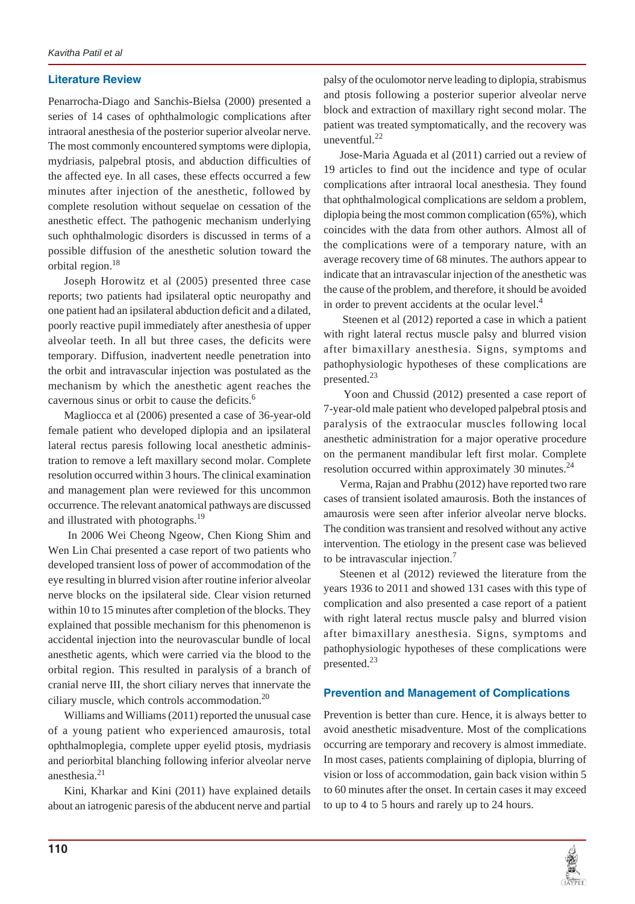## **Literature Review**

Penarrocha-Diago and Sanchis-Bielsa (2000) presented a series of 14 cases of ophthalmologic complications after intraoral anesthesia of the posterior superior alveolar nerve. The most commonly encountered symptoms were diplopia, mydriasis, palpebral ptosis, and abduction difficulties of the affected eye. In all cases, these effects occurred a few minutes after injection of the anesthetic, followed by complete resolution without sequelae on cessation of the anesthetic effect. The pathogenic mechanism underlying such ophthalmologic disorders is discussed in terms of a possible diffusion of the anesthetic solution toward the orbital region.18

Joseph Horowitz et al (2005) presented three case reports; two patients had ipsilateral optic neuropathy and one patient had an ipsilateral abduction deficit and a dilated, poorly reactive pupil immediately after anesthesia of upper alveolar teeth. In all but three cases, the deficits were temporary. Diffusion, inadvertent needle penetration into the orbit and intravascular injection was postulated as the mechanism by which the anesthetic agent reaches the cavernous sinus or orbit to cause the deficits.<sup>6</sup>

Magliocca et al (2006) presented a case of 36-year-old female patient who developed diplopia and an ipsilateral lateral rectus paresis following local anesthetic administration to remove a left maxillary second molar. Complete resolution occurred within 3 hours. The clinical examination and management plan were reviewed for this uncommon occurrence. The relevant anatomical pathways are discussed and illustrated with photographs.<sup>19</sup>

 In 2006 Wei Cheong Ngeow, Chen Kiong Shim and Wen Lin Chai presented a case report of two patients who developed transient loss of power of accommodation of the eye resulting in blurred vision after routine inferior alveolar nerve blocks on the ipsilateral side. Clear vision returned within 10 to 15 minutes after completion of the blocks. They explained that possible mechanism for this phenomenon is accidental injection into the neurovascular bundle of local anesthetic agents, which were carried via the blood to the orbital region. This resulted in paralysis of a branch of cranial nerve III, the short ciliary nerves that innervate the ciliary muscle, which controls accommodation.20

Williams and Williams (2011) reported the unusual case of a young patient who experienced amaurosis, total ophthalmoplegia, complete upper eyelid ptosis, mydriasis and periorbital blanching following inferior alveolar nerve anesthesia.<sup>21</sup>

Kini, Kharkar and Kini (2011) have explained details about an iatrogenic paresis of the abducent nerve and partial palsy of the oculomotor nerve leading to diplopia, strabismus and ptosis following a posterior superior alveolar nerve block and extraction of maxillary right second molar. The patient was treated symptomatically, and the recovery was uneventful. $^{22}$ 

Jose-Maria Aguada et al (2011) carried out a review of 19 articles to find out the incidence and type of ocular complications after intraoral local anesthesia. They found that ophthalmological complications are seldom a problem, diplopia being the most common complication (65%), which coincides with the data from other authors. Almost all of the complications were of a temporary nature, with an average recovery time of 68 minutes. The authors appear to indicate that an intravascular injection of the anesthetic was the cause of the problem, and therefore, it should be avoided in order to prevent accidents at the ocular level.<sup>4</sup>

 Steenen et al (2012) reported a case in which a patient with right lateral rectus muscle palsy and blurred vision after bimaxillary anesthesia. Signs, symptoms and pathophysiologic hypotheses of these complications are presented.<sup>23</sup>

 Yoon and Chussid (2012) presented a case report of 7-year-old male patient who developed palpebral ptosis and paralysis of the extraocular muscles following local anesthetic administration for a major operative procedure on the permanent mandibular left first molar. Complete resolution occurred within approximately 30 minutes. $^{24}$ 

Verma, Rajan and Prabhu (2012) have reported two rare cases of transient isolated amaurosis. Both the instances of amaurosis were seen after inferior alveolar nerve blocks. The condition was transient and resolved without any active intervention. The etiology in the present case was believed to be intravascular injection.<sup>7</sup>

Steenen et al (2012) reviewed the literature from the years 1936 to 2011 and showed 131 cases with this type of complication and also presented a case report of a patient with right lateral rectus muscle palsy and blurred vision after bimaxillary anesthesia. Signs, symptoms and pathophysiologic hypotheses of these complications were presented.<sup>23</sup>

## **Prevention and Management of Complications**

Prevention is better than cure. Hence, it is always better to avoid anesthetic misadventure. Most of the complications occurring are temporary and recovery is almost immediate. In most cases, patients complaining of diplopia, blurring of vision or loss of accommodation, gain back vision within 5 to 60 minutes after the onset. In certain cases it may exceed to up to 4 to 5 hours and rarely up to 24 hours.

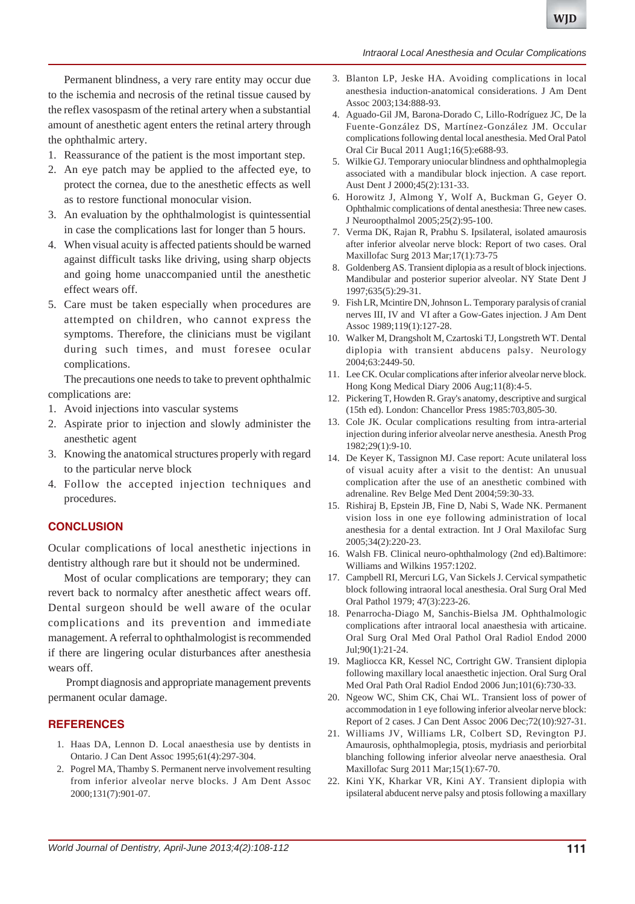#### *Intraoral Local Anesthesia and Ocular Complications*

Permanent blindness, a very rare entity may occur due to the ischemia and necrosis of the retinal tissue caused by the reflex vasospasm of the retinal artery when a substantial amount of anesthetic agent enters the retinal artery through the ophthalmic artery.

- 1. Reassurance of the patient is the most important step.
- 2. An eye patch may be applied to the affected eye, to protect the cornea, due to the anesthetic effects as well as to restore functional monocular vision.
- 3. An evaluation by the ophthalmologist is quintessential in case the complications last for longer than 5 hours.
- 4. When visual acuity is affected patients should be warned against difficult tasks like driving, using sharp objects and going home unaccompanied until the anesthetic effect wears off.
- 5. Care must be taken especially when procedures are attempted on children, who cannot express the symptoms. Therefore, the clinicians must be vigilant during such times, and must foresee ocular complications.

The precautions one needs to take to prevent ophthalmic complications are:

- 1. Avoid injections into vascular systems
- 2. Aspirate prior to injection and slowly administer the anesthetic agent
- 3. Knowing the anatomical structures properly with regard to the particular nerve block
- 4. Follow the accepted injection techniques and procedures.

## **CONCLUSION**

Ocular complications of local anesthetic injections in dentistry although rare but it should not be undermined.

Most of ocular complications are temporary; they can revert back to normalcy after anesthetic affect wears off. Dental surgeon should be well aware of the ocular complications and its prevention and immediate management. A referral to ophthalmologist is recommended if there are lingering ocular disturbances after anesthesia wears off.

 Prompt diagnosis and appropriate management prevents permanent ocular damage.

### **REFERENCES**

- 1. Haas DA, Lennon D. Local anaesthesia use by dentists in Ontario. J Can Dent Assoc 1995;61(4):297-304.
- 2. Pogrel MA, Thamby S. Permanent nerve involvement resulting from inferior alveolar nerve blocks. J Am Dent Assoc 2000;131(7):901-07.
- 3. Blanton LP, Jeske HA. Avoiding complications in local anesthesia induction-anatomical considerations. J Am Dent Assoc 2003;134:888-93.
- 4. Aguado-Gil JM, Barona-Dorado C, Lillo-Rodríguez JC, De la Fuente-González DS, Martínez-González JM. Occular complications following dental local anesthesia. Med Oral Patol Oral Cir Bucal 2011 Aug1;16(5):e688-93.
- 5. Wilkie GJ. Temporary uniocular blindness and ophthalmoplegia associated with a mandibular block injection. A case report. Aust Dent J 2000;45(2):131-33.
- 6. Horowitz J, Almong Y, Wolf A, Buckman G, Geyer O. Ophthalmic complications of dental anesthesia: Three new cases. J Neuroopthalmol 2005;25(2):95-100.
- 7. Verma DK, Rajan R, Prabhu S. Ipsilateral, isolated amaurosis after inferior alveolar nerve block: Report of two cases. Oral Maxillofac Surg 2013 Mar;17(1):73-75
- 8. Goldenberg AS. Transient diplopia as a result of block injections. Mandibular and posterior superior alveolar. NY State Dent J 1997;635(5):29-31.
- 9. Fish LR, Mcintire DN, Johnson L. Temporary paralysis of cranial nerves III, IV and VI after a Gow-Gates injection. J Am Dent Assoc 1989;119(1):127-28.
- 10. Walker M, Drangsholt M, Czartoski TJ, Longstreth WT. Dental diplopia with transient abducens palsy. Neurology 2004;63:2449-50.
- 11. Lee CK. Ocular complications after inferior alveolar nerve block. Hong Kong Medical Diary 2006 Aug;11(8):4-5.
- 12. Pickering T, Howden R. Gray's anatomy, descriptive and surgical (15th ed). London: Chancellor Press 1985:703,805-30.
- 13. Cole JK. Ocular complications resulting from intra-arterial injection during inferior alveolar nerve anesthesia. Anesth Prog 1982;29(1):9-10.
- 14. De Keyer K, Tassignon MJ. Case report: Acute unilateral loss of visual acuity after a visit to the dentist: An unusual complication after the use of an anesthetic combined with adrenaline. Rev Belge Med Dent 2004;59:30-33.
- 15. Rishiraj B, Epstein JB, Fine D, Nabi S, Wade NK. Permanent vision loss in one eye following administration of local anesthesia for a dental extraction. Int J Oral Maxilofac Surg 2005;34(2):220-23.
- 16. Walsh FB. Clinical neuro-ophthalmology (2nd ed).Baltimore: Williams and Wilkins 1957:1202.
- 17. Campbell RI, Mercuri LG, Van Sickels J. Cervical sympathetic block following intraoral local anesthesia. Oral Surg Oral Med Oral Pathol 1979; 47(3):223-26.
- 18. Penarrocha-Diago M, Sanchis-Bielsa JM. Ophthalmologic complications after intraoral local anaesthesia with articaine. Oral Surg Oral Med Oral Pathol Oral Radiol Endod 2000 Jul;90(1):21-24.
- 19. Magliocca KR, Kessel NC, Cortright GW. Transient diplopia following maxillary local anaesthetic injection. Oral Surg Oral Med Oral Path Oral Radiol Endod 2006 Jun;101(6):730-33.
- 20. Ngeow WC, Shim CK, Chai WL. Transient loss of power of accommodation in 1 eye following inferior alveolar nerve block: Report of 2 cases. J Can Dent Assoc 2006 Dec;72(10):927-31.
- 21. Williams JV, Williams LR, Colbert SD, Revington PJ. Amaurosis, ophthalmoplegia, ptosis, mydriasis and periorbital blanching following inferior alveolar nerve anaesthesia. Oral Maxillofac Surg 2011 Mar;15(1):67-70.
- 22. Kini YK, Kharkar VR, Kini AY. Transient diplopia with ipsilateral abducent nerve palsy and ptosis following a maxillary